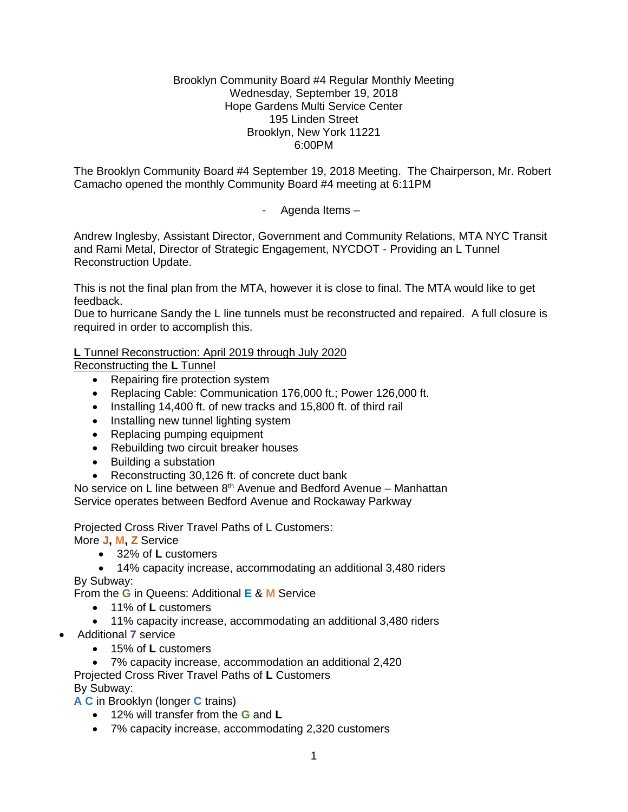### Brooklyn Community Board #4 Regular Monthly Meeting Wednesday, September 19, 2018 Hope Gardens Multi Service Center 195 Linden Street Brooklyn, New York 11221 6:00PM

The Brooklyn Community Board #4 September 19, 2018 Meeting. The Chairperson, Mr. Robert Camacho opened the monthly Community Board #4 meeting at 6:11PM

- Agenda Items –

Andrew Inglesby, Assistant Director, Government and Community Relations, MTA NYC Transit and Rami Metal, Director of Strategic Engagement, NYCDOT - Providing an L Tunnel Reconstruction Update.

This is not the final plan from the MTA, however it is close to final. The MTA would like to get feedback.

Due to hurricane Sandy the L line tunnels must be reconstructed and repaired. A full closure is required in order to accomplish this.

# **L** Tunnel Reconstruction: April 2019 through July 2020

Reconstructing the **L** Tunnel

- Repairing fire protection system
- Replacing Cable: Communication 176,000 ft.; Power 126,000 ft.
- Installing 14,400 ft. of new tracks and 15,800 ft. of third rail
- Installing new tunnel lighting system
- Replacing pumping equipment
- Rebuilding two circuit breaker houses
- Building a substation
- Reconstructing 30,126 ft. of concrete duct bank

No service on L line between  $8<sup>th</sup>$  Avenue and Bedford Avenue – Manhattan Service operates between Bedford Avenue and Rockaway Parkway

Projected Cross River Travel Paths of L Customers:

More **J, M, Z** Service

32% of **L** customers

 14% capacity increase, accommodating an additional 3,480 riders By Subway:

From the **G** in Queens: Additional **E** & **M** Service

- 11% of **L** customers
- 11% capacity increase, accommodating an additional 3,480 riders
- Additional **7** service
	- 15% of **L** customers

 7% capacity increase, accommodation an additional 2,420 Projected Cross River Travel Paths of **L** Customers By Subway:

**A C** in Brooklyn (longer **C** trains)

- 12% will transfer from the **G** and **L**
- 7% capacity increase, accommodating 2,320 customers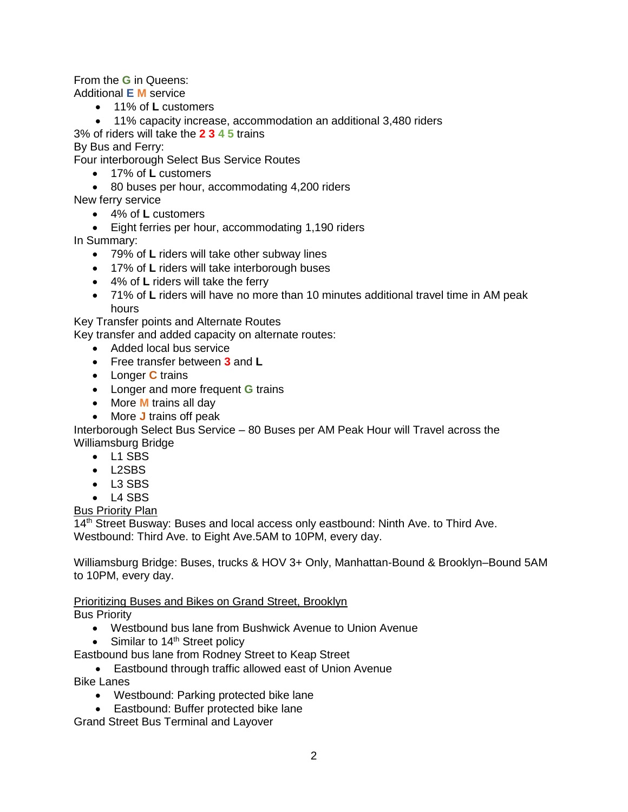From the **G** in Queens:

Additional **E M** service

- 11% of **L** customers
- 11% capacity increase, accommodation an additional 3,480 riders

3% of riders will take the **2 3 4 5** trains

By Bus and Ferry:

Four interborough Select Bus Service Routes

- 17% of **L** customers
- 80 buses per hour, accommodating 4,200 riders
- New ferry service
	- 4% of **L** customers
	- Eight ferries per hour, accommodating 1,190 riders

In Summary:

- 79% of **L** riders will take other subway lines
- 17% of **L** riders will take interborough buses
- 4% of **L** riders will take the ferry
- 71% of **L** riders will have no more than 10 minutes additional travel time in AM peak hours

Key Transfer points and Alternate Routes

Key transfer and added capacity on alternate routes:

- Added local bus service
- Free transfer between **3** and **L**
- Longer **C** trains
- Longer and more frequent **G** trains
- More **M** trains all day
- More **J** trains off peak

Interborough Select Bus Service – 80 Buses per AM Peak Hour will Travel across the Williamsburg Bridge

- L1 SBS
- L2SBS
- L3 SBS
- $-L4$  SBS

# Bus Priority Plan

14<sup>th</sup> Street Busway: Buses and local access only eastbound: Ninth Ave. to Third Ave. Westbound: Third Ave. to Eight Ave.5AM to 10PM, every day.

Williamsburg Bridge: Buses, trucks & HOV 3+ Only, Manhattan-Bound & Brooklyn–Bound 5AM to 10PM, every day.

Prioritizing Buses and Bikes on Grand Street, Brooklyn

Bus Priority

- Westbound bus lane from Bushwick Avenue to Union Avenue
- $\bullet$  Similar to 14<sup>th</sup> Street policy

Eastbound bus lane from Rodney Street to Keap Street

- Eastbound through traffic allowed east of Union Avenue Bike Lanes
	- Westbound: Parking protected bike lane
	- Eastbound: Buffer protected bike lane

Grand Street Bus Terminal and Layover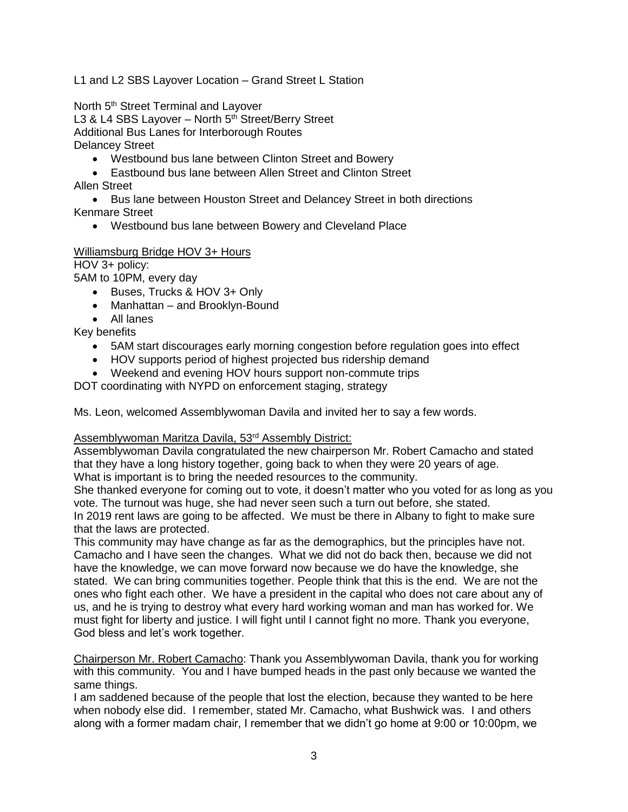L1 and L2 SBS Layover Location – Grand Street L Station

North 5<sup>th</sup> Street Terminal and Layover L3 & L4 SBS Layover - North 5<sup>th</sup> Street/Berry Street Additional Bus Lanes for Interborough Routes Delancey Street

- Westbound bus lane between Clinton Street and Bowery
- Eastbound bus lane between Allen Street and Clinton Street Allen Street

• Bus lane between Houston Street and Delancey Street in both directions Kenmare Street

Westbound bus lane between Bowery and Cleveland Place

### Williamsburg Bridge HOV 3+ Hours

## HOV 3+ policy:

5AM to 10PM, every day

- Buses, Trucks & HOV 3+ Only
- Manhattan and Brooklyn-Bound
- All lanes

Key benefits

- 5AM start discourages early morning congestion before regulation goes into effect
- HOV supports period of highest projected bus ridership demand
- Weekend and evening HOV hours support non-commute trips

DOT coordinating with NYPD on enforcement staging, strategy

Ms. Leon, welcomed Assemblywoman Davila and invited her to say a few words.

#### Assemblywoman Maritza Davila, 53<sup>rd</sup> Assembly District:

Assemblywoman Davila congratulated the new chairperson Mr. Robert Camacho and stated that they have a long history together, going back to when they were 20 years of age. What is important is to bring the needed resources to the community.

She thanked everyone for coming out to vote, it doesn't matter who you voted for as long as you vote. The turnout was huge, she had never seen such a turn out before, she stated. In 2019 rent laws are going to be affected. We must be there in Albany to fight to make sure that the laws are protected.

This community may have change as far as the demographics, but the principles have not. Camacho and I have seen the changes. What we did not do back then, because we did not have the knowledge, we can move forward now because we do have the knowledge, she stated. We can bring communities together. People think that this is the end. We are not the ones who fight each other. We have a president in the capital who does not care about any of us, and he is trying to destroy what every hard working woman and man has worked for. We must fight for liberty and justice. I will fight until I cannot fight no more. Thank you everyone, God bless and let's work together.

Chairperson Mr. Robert Camacho: Thank you Assemblywoman Davila, thank you for working with this community. You and I have bumped heads in the past only because we wanted the same things.

I am saddened because of the people that lost the election, because they wanted to be here when nobody else did. I remember, stated Mr. Camacho, what Bushwick was. I and others along with a former madam chair, I remember that we didn't go home at 9:00 or 10:00pm, we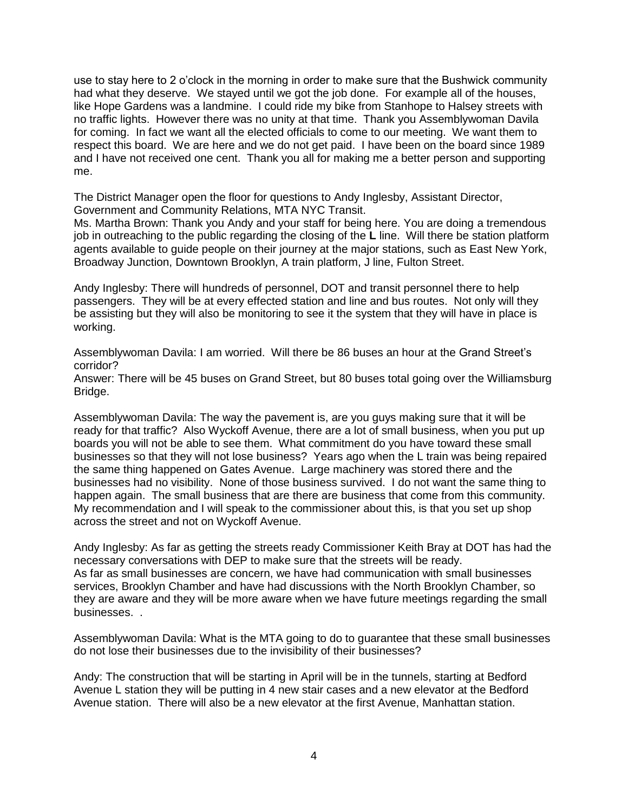use to stay here to 2 o'clock in the morning in order to make sure that the Bushwick community had what they deserve. We stayed until we got the job done. For example all of the houses, like Hope Gardens was a landmine. I could ride my bike from Stanhope to Halsey streets with no traffic lights. However there was no unity at that time. Thank you Assemblywoman Davila for coming. In fact we want all the elected officials to come to our meeting. We want them to respect this board. We are here and we do not get paid. I have been on the board since 1989 and I have not received one cent. Thank you all for making me a better person and supporting me.

The District Manager open the floor for questions to Andy Inglesby, Assistant Director, Government and Community Relations, MTA NYC Transit.

Ms. Martha Brown: Thank you Andy and your staff for being here. You are doing a tremendous job in outreaching to the public regarding the closing of the **L** line. Will there be station platform agents available to guide people on their journey at the major stations, such as East New York, Broadway Junction, Downtown Brooklyn, A train platform, J line, Fulton Street.

Andy Inglesby: There will hundreds of personnel, DOT and transit personnel there to help passengers. They will be at every effected station and line and bus routes. Not only will they be assisting but they will also be monitoring to see it the system that they will have in place is working.

Assemblywoman Davila: I am worried. Will there be 86 buses an hour at the Grand Street's corridor?

Answer: There will be 45 buses on Grand Street, but 80 buses total going over the Williamsburg Bridge.

Assemblywoman Davila: The way the pavement is, are you guys making sure that it will be ready for that traffic? Also Wyckoff Avenue, there are a lot of small business, when you put up boards you will not be able to see them. What commitment do you have toward these small businesses so that they will not lose business? Years ago when the L train was being repaired the same thing happened on Gates Avenue. Large machinery was stored there and the businesses had no visibility. None of those business survived. I do not want the same thing to happen again. The small business that are there are business that come from this community. My recommendation and I will speak to the commissioner about this, is that you set up shop across the street and not on Wyckoff Avenue.

Andy Inglesby: As far as getting the streets ready Commissioner Keith Bray at DOT has had the necessary conversations with DEP to make sure that the streets will be ready. As far as small businesses are concern, we have had communication with small businesses services, Brooklyn Chamber and have had discussions with the North Brooklyn Chamber, so they are aware and they will be more aware when we have future meetings regarding the small businesses. .

Assemblywoman Davila: What is the MTA going to do to guarantee that these small businesses do not lose their businesses due to the invisibility of their businesses?

Andy: The construction that will be starting in April will be in the tunnels, starting at Bedford Avenue L station they will be putting in 4 new stair cases and a new elevator at the Bedford Avenue station. There will also be a new elevator at the first Avenue, Manhattan station.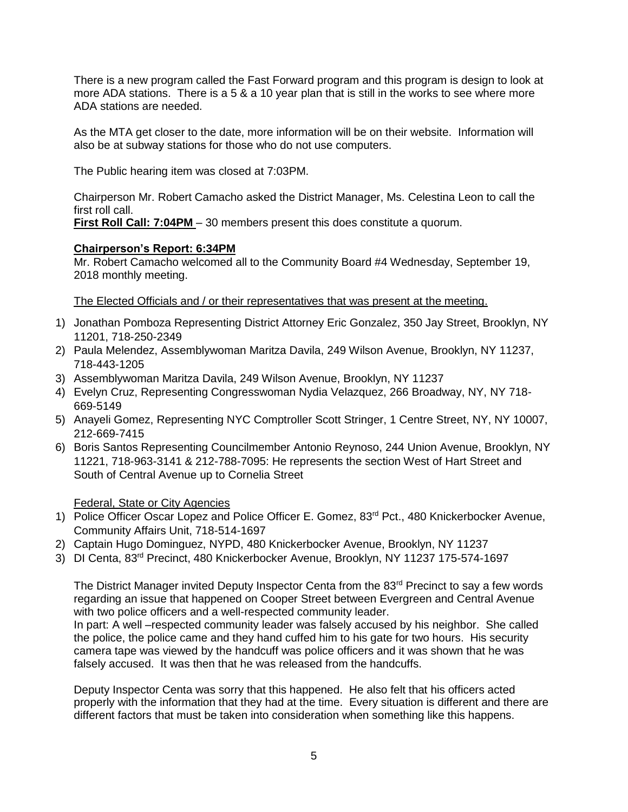There is a new program called the Fast Forward program and this program is design to look at more ADA stations. There is a 5 & a 10 year plan that is still in the works to see where more ADA stations are needed.

As the MTA get closer to the date, more information will be on their website. Information will also be at subway stations for those who do not use computers.

The Public hearing item was closed at 7:03PM.

Chairperson Mr. Robert Camacho asked the District Manager, Ms. Celestina Leon to call the first roll call.

**First Roll Call: 7:04PM** – 30 members present this does constitute a quorum.

# **Chairperson's Report: 6:34PM**

Mr. Robert Camacho welcomed all to the Community Board #4 Wednesday, September 19, 2018 monthly meeting.

The Elected Officials and / or their representatives that was present at the meeting.

- 1) Jonathan Pomboza Representing District Attorney Eric Gonzalez, 350 Jay Street, Brooklyn, NY 11201, 718-250-2349
- 2) Paula Melendez, Assemblywoman Maritza Davila, 249 Wilson Avenue, Brooklyn, NY 11237, 718-443-1205
- 3) Assemblywoman Maritza Davila, 249 Wilson Avenue, Brooklyn, NY 11237
- 4) Evelyn Cruz, Representing Congresswoman Nydia Velazquez, 266 Broadway, NY, NY 718- 669-5149
- 5) Anayeli Gomez, Representing NYC Comptroller Scott Stringer, 1 Centre Street, NY, NY 10007, 212-669-7415
- 6) Boris Santos Representing Councilmember Antonio Reynoso, 244 Union Avenue, Brooklyn, NY 11221, 718-963-3141 & 212-788-7095: He represents the section West of Hart Street and South of Central Avenue up to Cornelia Street

## Federal, State or City Agencies

- 1) Police Officer Oscar Lopez and Police Officer E. Gomez, 83<sup>rd</sup> Pct., 480 Knickerbocker Avenue, Community Affairs Unit, 718-514-1697
- 2) Captain Hugo Dominguez, NYPD, 480 Knickerbocker Avenue, Brooklyn, NY 11237
- 3) DI Centa, 83rd Precinct, 480 Knickerbocker Avenue, Brooklyn, NY 11237 175-574-1697

The District Manager invited Deputy Inspector Centa from the 83<sup>rd</sup> Precinct to say a few words regarding an issue that happened on Cooper Street between Evergreen and Central Avenue with two police officers and a well-respected community leader.

In part: A well –respected community leader was falsely accused by his neighbor. She called the police, the police came and they hand cuffed him to his gate for two hours. His security camera tape was viewed by the handcuff was police officers and it was shown that he was falsely accused. It was then that he was released from the handcuffs.

Deputy Inspector Centa was sorry that this happened. He also felt that his officers acted properly with the information that they had at the time. Every situation is different and there are different factors that must be taken into consideration when something like this happens.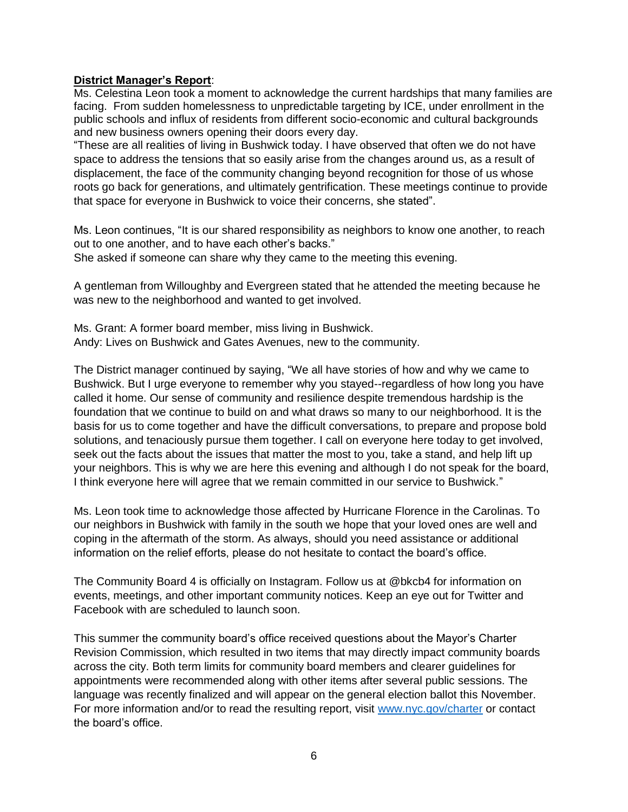## **District Manager's Report**:

Ms. Celestina Leon took a moment to acknowledge the current hardships that many families are facing. From sudden homelessness to unpredictable targeting by ICE, under enrollment in the public schools and influx of residents from different socio-economic and cultural backgrounds and new business owners opening their doors every day.

"These are all realities of living in Bushwick today. I have observed that often we do not have space to address the tensions that so easily arise from the changes around us, as a result of displacement, the face of the community changing beyond recognition for those of us whose roots go back for generations, and ultimately gentrification. These meetings continue to provide that space for everyone in Bushwick to voice their concerns, she stated".

Ms. Leon continues, "It is our shared responsibility as neighbors to know one another, to reach out to one another, and to have each other's backs."

She asked if someone can share why they came to the meeting this evening.

A gentleman from Willoughby and Evergreen stated that he attended the meeting because he was new to the neighborhood and wanted to get involved.

Ms. Grant: A former board member, miss living in Bushwick. Andy: Lives on Bushwick and Gates Avenues, new to the community.

The District manager continued by saying, "We all have stories of how and why we came to Bushwick. But I urge everyone to remember why you stayed--regardless of how long you have called it home. Our sense of community and resilience despite tremendous hardship is the foundation that we continue to build on and what draws so many to our neighborhood. It is the basis for us to come together and have the difficult conversations, to prepare and propose bold solutions, and tenaciously pursue them together. I call on everyone here today to get involved, seek out the facts about the issues that matter the most to you, take a stand, and help lift up your neighbors. This is why we are here this evening and although I do not speak for the board, I think everyone here will agree that we remain committed in our service to Bushwick."

Ms. Leon took time to acknowledge those affected by Hurricane Florence in the Carolinas. To our neighbors in Bushwick with family in the south we hope that your loved ones are well and coping in the aftermath of the storm. As always, should you need assistance or additional information on the relief efforts, please do not hesitate to contact the board's office.

The Community Board 4 is officially on Instagram. Follow us at @bkcb4 for information on events, meetings, and other important community notices. Keep an eye out for Twitter and Facebook with are scheduled to launch soon.

This summer the community board's office received questions about the Mayor's Charter Revision Commission, which resulted in two items that may directly impact community boards across the city. Both term limits for community board members and clearer guidelines for appointments were recommended along with other items after several public sessions. The language was recently finalized and will appear on the general election ballot this November. For more information and/or to read the resulting report, visit [www.nyc.gov/charter](http://www.nyc.gov/charter) or contact the board's office.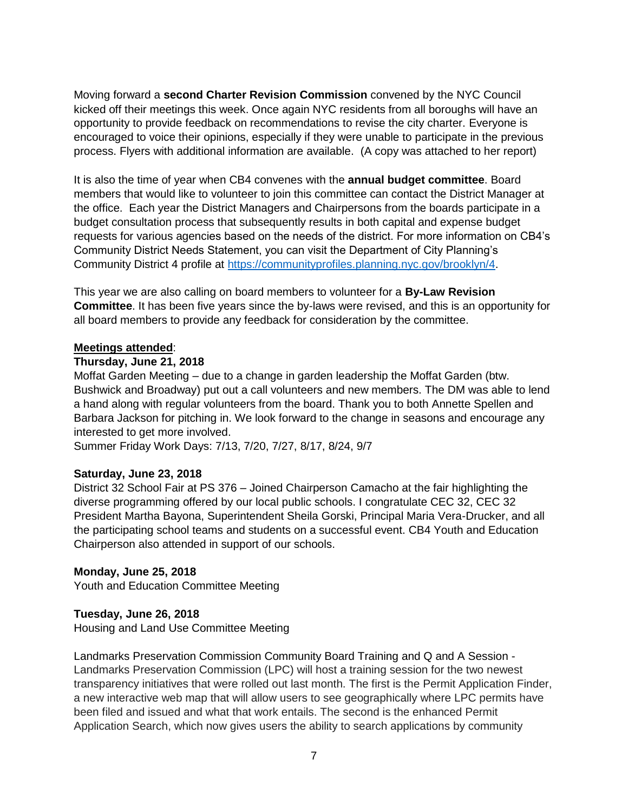Moving forward a **second Charter Revision Commission** convened by the NYC Council kicked off their meetings this week. Once again NYC residents from all boroughs will have an opportunity to provide feedback on recommendations to revise the city charter. Everyone is encouraged to voice their opinions, especially if they were unable to participate in the previous process. Flyers with additional information are available. (A copy was attached to her report)

It is also the time of year when CB4 convenes with the **annual budget committee**. Board members that would like to volunteer to join this committee can contact the District Manager at the office. Each year the District Managers and Chairpersons from the boards participate in a budget consultation process that subsequently results in both capital and expense budget requests for various agencies based on the needs of the district. For more information on CB4's Community District Needs Statement, you can visit the Department of City Planning's Community District 4 profile at [https://communityprofiles.planning.nyc.gov/brooklyn/4.](https://communityprofiles.planning.nyc.gov/brooklyn/4)

This year we are also calling on board members to volunteer for a **By-Law Revision Committee**. It has been five years since the by-laws were revised, and this is an opportunity for all board members to provide any feedback for consideration by the committee.

### **Meetings attended**:

### **Thursday, June 21, 2018**

Moffat Garden Meeting – due to a change in garden leadership the Moffat Garden (btw. Bushwick and Broadway) put out a call volunteers and new members. The DM was able to lend a hand along with regular volunteers from the board. Thank you to both Annette Spellen and Barbara Jackson for pitching in. We look forward to the change in seasons and encourage any interested to get more involved.

Summer Friday Work Days: 7/13, 7/20, 7/27, 8/17, 8/24, 9/7

## **Saturday, June 23, 2018**

District 32 School Fair at PS 376 – Joined Chairperson Camacho at the fair highlighting the diverse programming offered by our local public schools. I congratulate CEC 32, CEC 32 President Martha Bayona, Superintendent Sheila Gorski, Principal Maria Vera-Drucker, and all the participating school teams and students on a successful event. CB4 Youth and Education Chairperson also attended in support of our schools.

## **Monday, June 25, 2018**

Youth and Education Committee Meeting

## **Tuesday, June 26, 2018**

Housing and Land Use Committee Meeting

Landmarks Preservation Commission Community Board Training and Q and A Session - Landmarks Preservation Commission (LPC) will host a training session for the two newest transparency initiatives that were rolled out last month. The first is the Permit Application Finder, a new interactive web map that will allow users to see geographically where LPC permits have been filed and issued and what that work entails. The second is the enhanced Permit Application Search, which now gives users the ability to search applications by community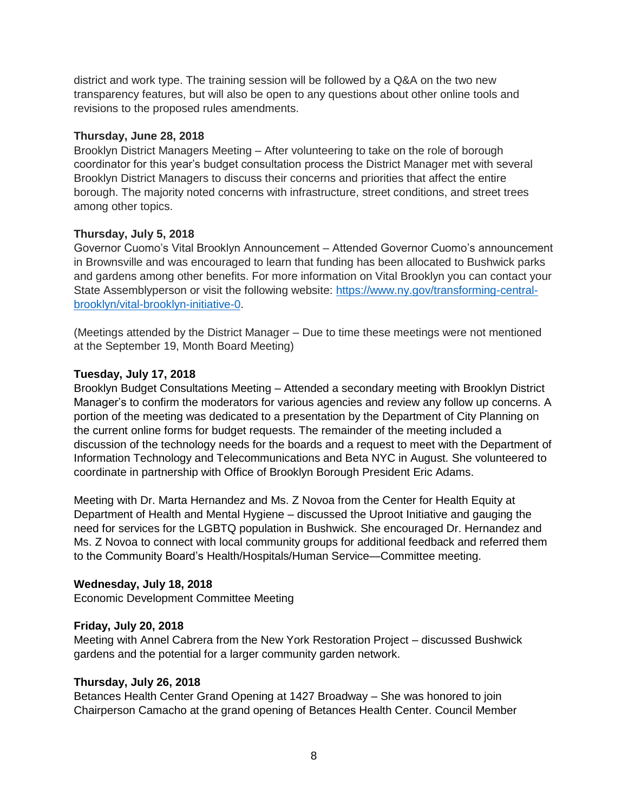district and work type. The training session will be followed by a Q&A on the two new transparency features, but will also be open to any questions about other online tools and revisions to the proposed rules amendments.

### **Thursday, June 28, 2018**

Brooklyn District Managers Meeting – After volunteering to take on the role of borough coordinator for this year's budget consultation process the District Manager met with several Brooklyn District Managers to discuss their concerns and priorities that affect the entire borough. The majority noted concerns with infrastructure, street conditions, and street trees among other topics.

## **Thursday, July 5, 2018**

Governor Cuomo's Vital Brooklyn Announcement – Attended Governor Cuomo's announcement in Brownsville and was encouraged to learn that funding has been allocated to Bushwick parks and gardens among other benefits. For more information on Vital Brooklyn you can contact your State Assemblyperson or visit the following website: [https://www.ny.gov/transforming-central](https://www.ny.gov/transforming-central-brooklyn/vital-brooklyn-initiative-0)[brooklyn/vital-brooklyn-initiative-0.](https://www.ny.gov/transforming-central-brooklyn/vital-brooklyn-initiative-0)

(Meetings attended by the District Manager – Due to time these meetings were not mentioned at the September 19, Month Board Meeting)

### **Tuesday, July 17, 2018**

Brooklyn Budget Consultations Meeting – Attended a secondary meeting with Brooklyn District Manager's to confirm the moderators for various agencies and review any follow up concerns. A portion of the meeting was dedicated to a presentation by the Department of City Planning on the current online forms for budget requests. The remainder of the meeting included a discussion of the technology needs for the boards and a request to meet with the Department of Information Technology and Telecommunications and Beta NYC in August. She volunteered to coordinate in partnership with Office of Brooklyn Borough President Eric Adams.

Meeting with Dr. Marta Hernandez and Ms. Z Novoa from the Center for Health Equity at Department of Health and Mental Hygiene – discussed the Uproot Initiative and gauging the need for services for the LGBTQ population in Bushwick. She encouraged Dr. Hernandez and Ms. Z Novoa to connect with local community groups for additional feedback and referred them to the Community Board's Health/Hospitals/Human Service—Committee meeting.

## **Wednesday, July 18, 2018**

Economic Development Committee Meeting

#### **Friday, July 20, 2018**

Meeting with Annel Cabrera from the New York Restoration Project – discussed Bushwick gardens and the potential for a larger community garden network.

#### **Thursday, July 26, 2018**

Betances Health Center Grand Opening at 1427 Broadway – She was honored to join Chairperson Camacho at the grand opening of Betances Health Center. Council Member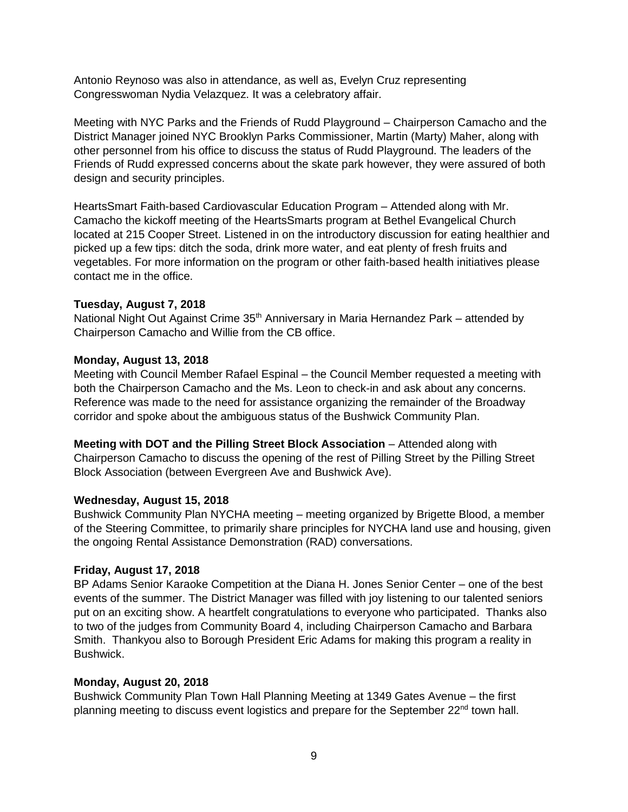Antonio Reynoso was also in attendance, as well as, Evelyn Cruz representing Congresswoman Nydia Velazquez. It was a celebratory affair.

Meeting with NYC Parks and the Friends of Rudd Playground – Chairperson Camacho and the District Manager joined NYC Brooklyn Parks Commissioner, Martin (Marty) Maher, along with other personnel from his office to discuss the status of Rudd Playground. The leaders of the Friends of Rudd expressed concerns about the skate park however, they were assured of both design and security principles.

HeartsSmart Faith-based Cardiovascular Education Program – Attended along with Mr. Camacho the kickoff meeting of the HeartsSmarts program at Bethel Evangelical Church located at 215 Cooper Street. Listened in on the introductory discussion for eating healthier and picked up a few tips: ditch the soda, drink more water, and eat plenty of fresh fruits and vegetables. For more information on the program or other faith-based health initiatives please contact me in the office.

## **Tuesday, August 7, 2018**

National Night Out Against Crime 35<sup>th</sup> Anniversary in Maria Hernandez Park – attended by Chairperson Camacho and Willie from the CB office.

### **Monday, August 13, 2018**

Meeting with Council Member Rafael Espinal – the Council Member requested a meeting with both the Chairperson Camacho and the Ms. Leon to check-in and ask about any concerns. Reference was made to the need for assistance organizing the remainder of the Broadway corridor and spoke about the ambiguous status of the Bushwick Community Plan.

**Meeting with DOT and the Pilling Street Block Association** – Attended along with Chairperson Camacho to discuss the opening of the rest of Pilling Street by the Pilling Street Block Association (between Evergreen Ave and Bushwick Ave).

## **Wednesday, August 15, 2018**

Bushwick Community Plan NYCHA meeting – meeting organized by Brigette Blood, a member of the Steering Committee, to primarily share principles for NYCHA land use and housing, given the ongoing Rental Assistance Demonstration (RAD) conversations.

## **Friday, August 17, 2018**

BP Adams Senior Karaoke Competition at the Diana H. Jones Senior Center – one of the best events of the summer. The District Manager was filled with joy listening to our talented seniors put on an exciting show. A heartfelt congratulations to everyone who participated. Thanks also to two of the judges from Community Board 4, including Chairperson Camacho and Barbara Smith. Thankyou also to Borough President Eric Adams for making this program a reality in Bushwick.

#### **Monday, August 20, 2018**

Bushwick Community Plan Town Hall Planning Meeting at 1349 Gates Avenue – the first planning meeting to discuss event logistics and prepare for the September 22<sup>nd</sup> town hall.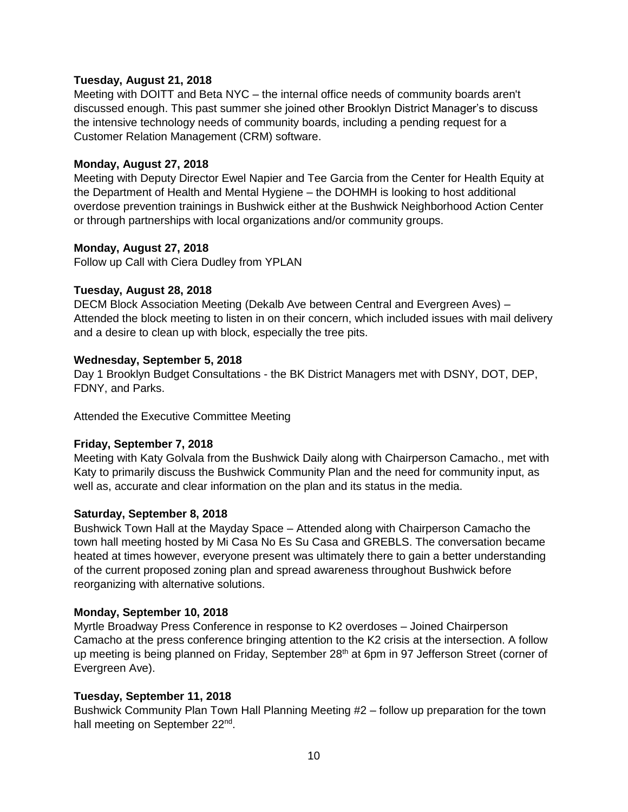## **Tuesday, August 21, 2018**

Meeting with DOITT and Beta NYC – the internal office needs of community boards aren't discussed enough. This past summer she joined other Brooklyn District Manager's to discuss the intensive technology needs of community boards, including a pending request for a Customer Relation Management (CRM) software.

## **Monday, August 27, 2018**

Meeting with Deputy Director Ewel Napier and Tee Garcia from the Center for Health Equity at the Department of Health and Mental Hygiene – the DOHMH is looking to host additional overdose prevention trainings in Bushwick either at the Bushwick Neighborhood Action Center or through partnerships with local organizations and/or community groups.

# **Monday, August 27, 2018**

Follow up Call with Ciera Dudley from YPLAN

# **Tuesday, August 28, 2018**

DECM Block Association Meeting (Dekalb Ave between Central and Evergreen Aves) – Attended the block meeting to listen in on their concern, which included issues with mail delivery and a desire to clean up with block, especially the tree pits.

# **Wednesday, September 5, 2018**

Day 1 Brooklyn Budget Consultations - the BK District Managers met with DSNY, DOT, DEP, FDNY, and Parks.

Attended the Executive Committee Meeting

# **Friday, September 7, 2018**

Meeting with Katy Golvala from the Bushwick Daily along with Chairperson Camacho., met with Katy to primarily discuss the Bushwick Community Plan and the need for community input, as well as, accurate and clear information on the plan and its status in the media.

## **Saturday, September 8, 2018**

Bushwick Town Hall at the Mayday Space – Attended along with Chairperson Camacho the town hall meeting hosted by Mi Casa No Es Su Casa and GREBLS. The conversation became heated at times however, everyone present was ultimately there to gain a better understanding of the current proposed zoning plan and spread awareness throughout Bushwick before reorganizing with alternative solutions.

## **Monday, September 10, 2018**

Myrtle Broadway Press Conference in response to K2 overdoses – Joined Chairperson Camacho at the press conference bringing attention to the K2 crisis at the intersection. A follow up meeting is being planned on Friday, September 28<sup>th</sup> at 6pm in 97 Jefferson Street (corner of Evergreen Ave).

# **Tuesday, September 11, 2018**

Bushwick Community Plan Town Hall Planning Meeting #2 – follow up preparation for the town hall meeting on September 22<sup>nd</sup>.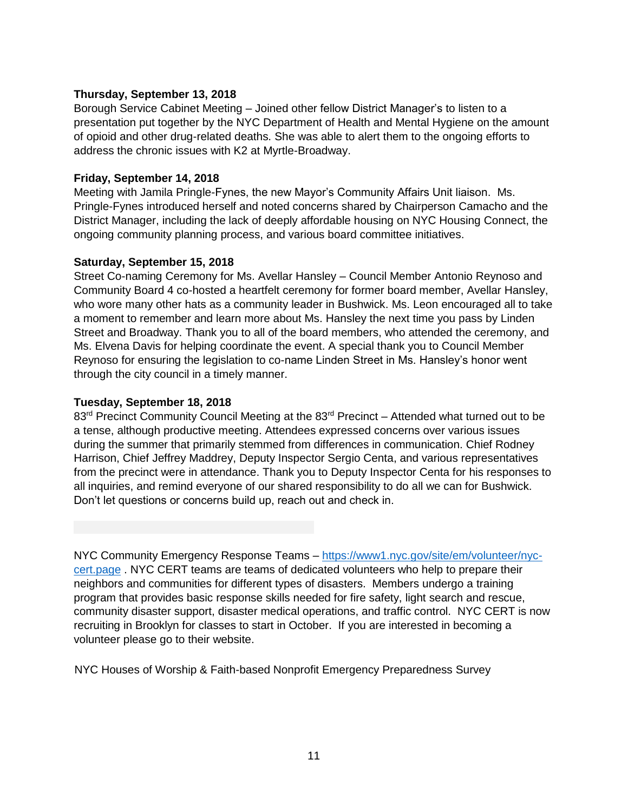## **Thursday, September 13, 2018**

Borough Service Cabinet Meeting – Joined other fellow District Manager's to listen to a presentation put together by the NYC Department of Health and Mental Hygiene on the amount of opioid and other drug-related deaths. She was able to alert them to the ongoing efforts to address the chronic issues with K2 at Myrtle-Broadway.

# **Friday, September 14, 2018**

Meeting with Jamila Pringle-Fynes, the new Mayor's Community Affairs Unit liaison. Ms. Pringle-Fynes introduced herself and noted concerns shared by Chairperson Camacho and the District Manager, including the lack of deeply affordable housing on NYC Housing Connect, the ongoing community planning process, and various board committee initiatives.

## **Saturday, September 15, 2018**

Street Co-naming Ceremony for Ms. Avellar Hansley – Council Member Antonio Reynoso and Community Board 4 co-hosted a heartfelt ceremony for former board member, Avellar Hansley, who wore many other hats as a community leader in Bushwick. Ms. Leon encouraged all to take a moment to remember and learn more about Ms. Hansley the next time you pass by Linden Street and Broadway. Thank you to all of the board members, who attended the ceremony, and Ms. Elvena Davis for helping coordinate the event. A special thank you to Council Member Reynoso for ensuring the legislation to co-name Linden Street in Ms. Hansley's honor went through the city council in a timely manner.

# **Tuesday, September 18, 2018**

83<sup>rd</sup> Precinct Community Council Meeting at the 83<sup>rd</sup> Precinct – Attended what turned out to be a tense, although productive meeting. Attendees expressed concerns over various issues during the summer that primarily stemmed from differences in communication. Chief Rodney Harrison, Chief Jeffrey Maddrey, Deputy Inspector Sergio Centa, and various representatives from the precinct were in attendance. Thank you to Deputy Inspector Centa for his responses to all inquiries, and remind everyone of our shared responsibility to do all we can for Bushwick. Don't let questions or concerns build up, reach out and check in.

NYC Community Emergency Response Teams – [https://www1.nyc.gov/site/em/volunteer/nyc](https://www1.nyc.gov/site/em/volunteer/nyc-cert.page)[cert.page](https://www1.nyc.gov/site/em/volunteer/nyc-cert.page) . NYC CERT teams are teams of dedicated volunteers who help to prepare their neighbors and communities for different types of disasters. Members undergo a training program that provides basic response skills needed for fire safety, light search and rescue, community disaster support, disaster medical operations, and traffic control. NYC CERT is now recruiting in Brooklyn for classes to start in October. If you are interested in becoming a volunteer please go to their website.

NYC Houses of Worship & Faith-based Nonprofit Emergency Preparedness Survey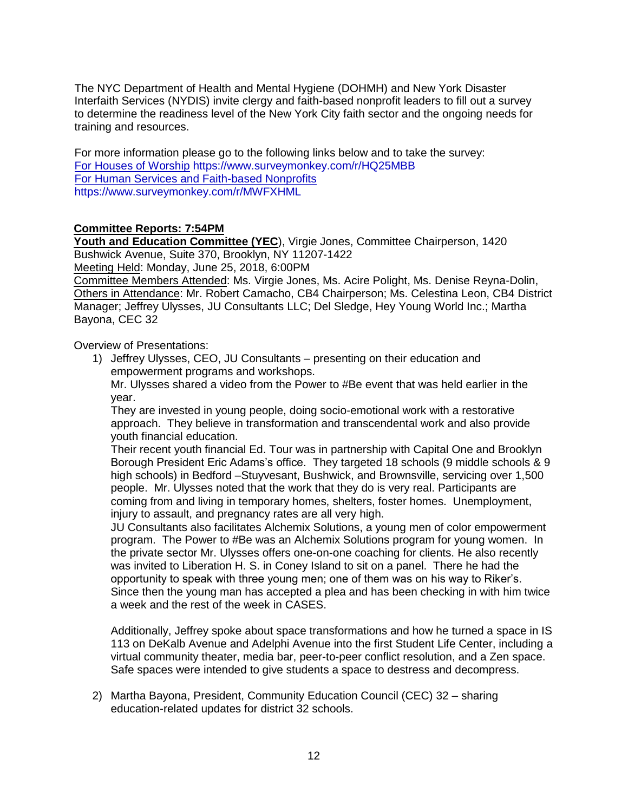The NYC Department of Health and Mental Hygiene (DOHMH) and New York Disaster Interfaith Services (NYDIS) invite clergy and faith-based nonprofit leaders to fill out a survey to determine the readiness level of the New York City faith sector and the ongoing needs for training and resources.

For more information please go to the following links below and to take the survey: [For Houses of Worship](http://r20.rs6.net/tn.jsp?f=001bVg1Y6XLBJZoVwZPAYQmqOkhsYLZ2tIgY4B2QMjL25bIO0FGPNTk8whI9EghEJdqbAhETdJ2WcQJSlY8aIaG1AtzPBNPcls52o-r4u1Lpn0MKF94jMtpCAzPH5qgCKxoemqmxi83fhvMsOaOYqKKpI74Huv459f17RkpX2WBb6s=&c=T1-fLQ1mueiRP23RtV49MxfCHJnR_etxCftwTsREIqV4DB_EBdsxSw==&ch=41ceM92ywh7g9d7dusEC-opsoHXWeaW5mAHyv730v64OTSDP7Enxag==) https://www.surveymonkey.com/r/HQ25MBB [For Human Services and Faith-based Nonprofits](http://r20.rs6.net/tn.jsp?f=001bVg1Y6XLBJZoVwZPAYQmqOkhsYLZ2tIgY4B2QMjL25bIO0FGPNTk8whI9EghEJdqN0D6pLwimLaPdsQd97RCnu8_8C_LWh0-f20hZg6TcaAtF580clueWTK3cTSpyOjlyWQaYkFpc6yaP6owdp4ueSFFmbBWVL93hFOh0cKuRVw=&c=T1-fLQ1mueiRP23RtV49MxfCHJnR_etxCftwTsREIqV4DB_EBdsxSw==&ch=41ceM92ywh7g9d7dusEC-opsoHXWeaW5mAHyv730v64OTSDP7Enxag==) https://www.surveymonkey.com/r/MWFXHML

## **Committee Reports: 7:54PM**

**Youth and Education Committee (YEC**), Virgie Jones, Committee Chairperson, 1420 Bushwick Avenue, Suite 370, Brooklyn, NY 11207-1422

Meeting Held: Monday, June 25, 2018, 6:00PM

Committee Members Attended: Ms. Virgie Jones, Ms. Acire Polight, Ms. Denise Reyna-Dolin, Others in Attendance: Mr. Robert Camacho, CB4 Chairperson; Ms. Celestina Leon, CB4 District Manager; Jeffrey Ulysses, JU Consultants LLC; Del Sledge, Hey Young World Inc.; Martha Bayona, CEC 32

Overview of Presentations:

1) Jeffrey Ulysses, CEO, JU Consultants – presenting on their education and empowerment programs and workshops.

Mr. Ulysses shared a video from the Power to #Be event that was held earlier in the year.

They are invested in young people, doing socio-emotional work with a restorative approach. They believe in transformation and transcendental work and also provide youth financial education.

Their recent youth financial Ed. Tour was in partnership with Capital One and Brooklyn Borough President Eric Adams's office. They targeted 18 schools (9 middle schools & 9 high schools) in Bedford –Stuyvesant, Bushwick, and Brownsville, servicing over 1,500 people. Mr. Ulysses noted that the work that they do is very real. Participants are coming from and living in temporary homes, shelters, foster homes. Unemployment, injury to assault, and pregnancy rates are all very high.

JU Consultants also facilitates Alchemix Solutions, a young men of color empowerment program. The Power to #Be was an Alchemix Solutions program for young women. In the private sector Mr. Ulysses offers one-on-one coaching for clients. He also recently was invited to Liberation H. S. in Coney Island to sit on a panel. There he had the opportunity to speak with three young men; one of them was on his way to Riker's. Since then the young man has accepted a plea and has been checking in with him twice a week and the rest of the week in CASES.

Additionally, Jeffrey spoke about space transformations and how he turned a space in IS 113 on DeKalb Avenue and Adelphi Avenue into the first Student Life Center, including a virtual community theater, media bar, peer-to-peer conflict resolution, and a Zen space. Safe spaces were intended to give students a space to destress and decompress.

2) Martha Bayona, President, Community Education Council (CEC) 32 – sharing education-related updates for district 32 schools.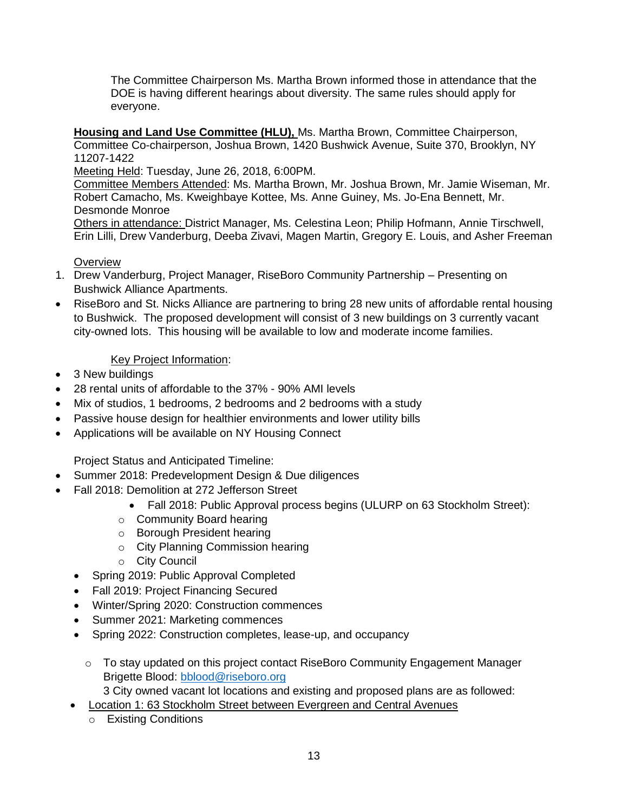The Committee Chairperson Ms. Martha Brown informed those in attendance that the DOE is having different hearings about diversity. The same rules should apply for everyone.

**Housing and Land Use Committee (HLU),** Ms. Martha Brown, Committee Chairperson, Committee Co-chairperson, Joshua Brown, 1420 Bushwick Avenue, Suite 370, Brooklyn, NY 11207-1422

Meeting Held: Tuesday, June 26, 2018, 6:00PM.

Committee Members Attended: Ms. Martha Brown, Mr. Joshua Brown, Mr. Jamie Wiseman, Mr. Robert Camacho, Ms. Kweighbaye Kottee, Ms. Anne Guiney, Ms. Jo-Ena Bennett, Mr. Desmonde Monroe

Others in attendance: District Manager, Ms. Celestina Leon; Philip Hofmann, Annie Tirschwell, Erin Lilli, Drew Vanderburg, Deeba Zivavi, Magen Martin, Gregory E. Louis, and Asher Freeman

# **Overview**

- 1. Drew Vanderburg, Project Manager, RiseBoro Community Partnership Presenting on Bushwick Alliance Apartments.
- RiseBoro and St. Nicks Alliance are partnering to bring 28 new units of affordable rental housing to Bushwick. The proposed development will consist of 3 new buildings on 3 currently vacant city-owned lots. This housing will be available to low and moderate income families.

# Key Project Information:

- 3 New buildings
- 28 rental units of affordable to the 37% 90% AMI levels
- Mix of studios, 1 bedrooms, 2 bedrooms and 2 bedrooms with a study
- Passive house design for healthier environments and lower utility bills
- Applications will be available on NY Housing Connect

Project Status and Anticipated Timeline:

- Summer 2018: Predevelopment Design & Due diligences
- Fall 2018: Demolition at 272 Jefferson Street
	- Fall 2018: Public Approval process begins (ULURP on 63 Stockholm Street):
	- o Community Board hearing
	- o Borough President hearing
	- o City Planning Commission hearing
	- o City Council
	- Spring 2019: Public Approval Completed
	- Fall 2019: Project Financing Secured
	- Winter/Spring 2020: Construction commences
	- Summer 2021: Marketing commences
	- Spring 2022: Construction completes, lease-up, and occupancy
		- $\circ$  To stay updated on this project contact RiseBoro Community Engagement Manager Brigette Blood: [bblood@riseboro.org](mailto:bblood@riseboro.org)
	- 3 City owned vacant lot locations and existing and proposed plans are as followed:
	- Location 1: 63 Stockholm Street between Evergreen and Central Avenues
		- o Existing Conditions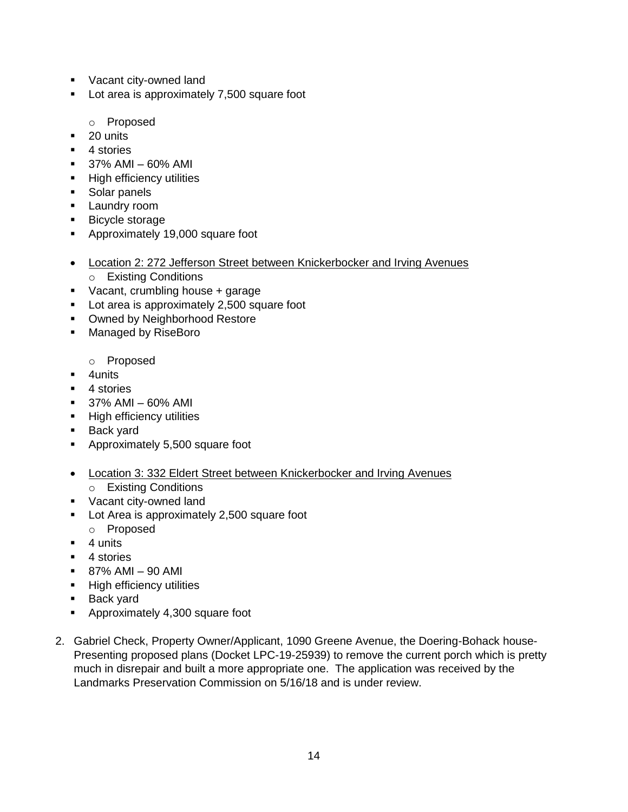- **Vacant city-owned land**
- **Lot area is approximately 7,500 square foot** 
	- o Proposed
- $\blacksquare$  20 units
- 4 stories
- 37% AMI 60% AMI
- **High efficiency utilities**
- Solar panels
- **Laundry room**
- **Bicycle storage**
- Approximately 19,000 square foot
- Location 2: 272 Jefferson Street between Knickerbocker and Irving Avenues
	- o Existing Conditions
- Vacant, crumbling house + garage
- Lot area is approximately 2,500 square foot
- **Owned by Neighborhood Restore**
- **Managed by RiseBoro** 
	- o Proposed
- **4units**
- 4 stories
- $-37\%$  AMI 60% AMI
- **High efficiency utilities**
- **Back yard**
- **Approximately 5,500 square foot**
- Location 3: 332 Eldert Street between Knickerbocker and Irving Avenues
- o Existing Conditions
- **Vacant city-owned land**
- **Lot Area is approximately 2,500 square foot** 
	- o Proposed
- $-4$  units
- 4 stories
- $-87%$  AMI 90 AMI
- **High efficiency utilities**
- **Back yard**
- **Approximately 4,300 square foot**
- 2. Gabriel Check, Property Owner/Applicant, 1090 Greene Avenue, the Doering-Bohack house-Presenting proposed plans (Docket LPC-19-25939) to remove the current porch which is pretty much in disrepair and built a more appropriate one. The application was received by the Landmarks Preservation Commission on 5/16/18 and is under review.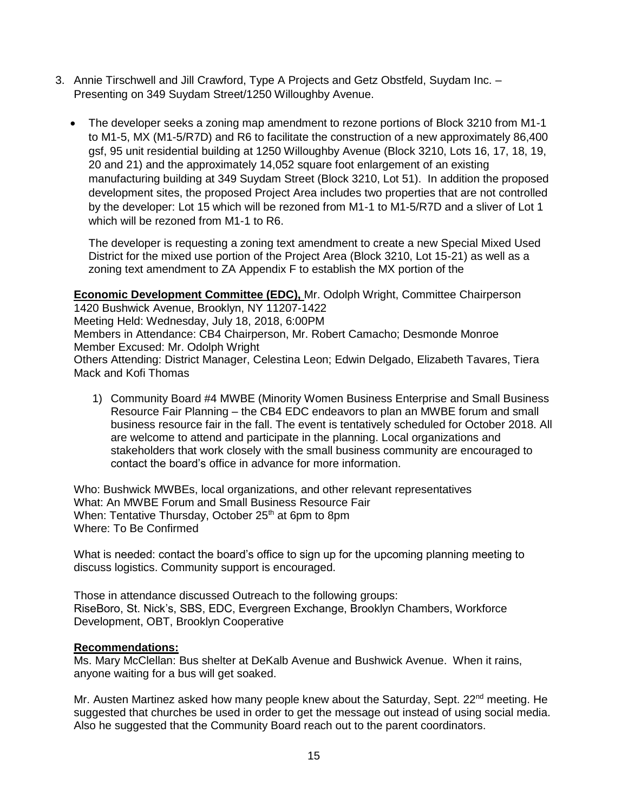- 3. Annie Tirschwell and Jill Crawford, Type A Projects and Getz Obstfeld, Suydam Inc. Presenting on 349 Suydam Street/1250 Willoughby Avenue.
	- The developer seeks a zoning map amendment to rezone portions of Block 3210 from M1-1 to M1-5, MX (M1-5/R7D) and R6 to facilitate the construction of a new approximately 86,400 gsf, 95 unit residential building at 1250 Willoughby Avenue (Block 3210, Lots 16, 17, 18, 19, 20 and 21) and the approximately 14,052 square foot enlargement of an existing manufacturing building at 349 Suydam Street (Block 3210, Lot 51). In addition the proposed development sites, the proposed Project Area includes two properties that are not controlled by the developer: Lot 15 which will be rezoned from M1-1 to M1-5/R7D and a sliver of Lot 1 which will be rezoned from M1-1 to R6.

The developer is requesting a zoning text amendment to create a new Special Mixed Used District for the mixed use portion of the Project Area (Block 3210, Lot 15-21) as well as a zoning text amendment to ZA Appendix F to establish the MX portion of the

**Economic Development Committee (EDC),** Mr. Odolph Wright, Committee Chairperson 1420 Bushwick Avenue, Brooklyn, NY 11207-1422 Meeting Held: Wednesday, July 18, 2018, 6:00PM Members in Attendance: CB4 Chairperson, Mr. Robert Camacho; Desmonde Monroe Member Excused: Mr. Odolph Wright Others Attending: District Manager, Celestina Leon; Edwin Delgado, Elizabeth Tavares, Tiera Mack and Kofi Thomas

1) Community Board #4 MWBE (Minority Women Business Enterprise and Small Business Resource Fair Planning *–* the CB4 EDC endeavors to plan an MWBE forum and small business resource fair in the fall. The event is tentatively scheduled for October 2018. All are welcome to attend and participate in the planning. Local organizations and stakeholders that work closely with the small business community are encouraged to contact the board's office in advance for more information.

Who: Bushwick MWBEs, local organizations, and other relevant representatives What: An MWBE Forum and Small Business Resource Fair When: Tentative Thursday, October  $25<sup>th</sup>$  at 6pm to 8pm Where: To Be Confirmed

What is needed: contact the board's office to sign up for the upcoming planning meeting to discuss logistics. Community support is encouraged.

Those in attendance discussed Outreach to the following groups: RiseBoro, St. Nick's, SBS, EDC, Evergreen Exchange, Brooklyn Chambers, Workforce Development, OBT, Brooklyn Cooperative

#### **Recommendations:**

Ms. Mary McClellan: Bus shelter at DeKalb Avenue and Bushwick Avenue. When it rains, anyone waiting for a bus will get soaked.

Mr. Austen Martinez asked how many people knew about the Saturday, Sept. 22<sup>nd</sup> meeting. He suggested that churches be used in order to get the message out instead of using social media. Also he suggested that the Community Board reach out to the parent coordinators.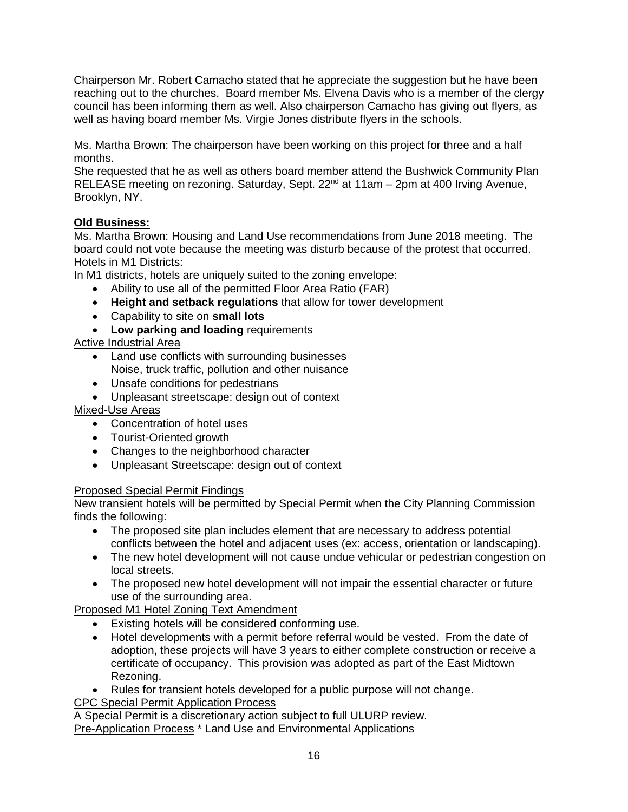Chairperson Mr. Robert Camacho stated that he appreciate the suggestion but he have been reaching out to the churches. Board member Ms. Elvena Davis who is a member of the clergy council has been informing them as well. Also chairperson Camacho has giving out flyers, as well as having board member Ms. Virgie Jones distribute flyers in the schools.

Ms. Martha Brown: The chairperson have been working on this project for three and a half months.

She requested that he as well as others board member attend the Bushwick Community Plan RELEASE meeting on rezoning. Saturday, Sept. 22<sup>nd</sup> at 11am - 2pm at 400 Irving Avenue, Brooklyn, NY.

# **Old Business:**

Ms. Martha Brown: Housing and Land Use recommendations from June 2018 meeting. The board could not vote because the meeting was disturb because of the protest that occurred. Hotels in M1 Districts:

In M1 districts, hotels are uniquely suited to the zoning envelope:

- Ability to use all of the permitted Floor Area Ratio (FAR)
- **Height and setback regulations** that allow for tower development
- Capability to site on **small lots**
- **Low parking and loading** requirements

# Active Industrial Area

- Land use conflicts with surrounding businesses Noise, truck traffic, pollution and other nuisance
- Unsafe conditions for pedestrians
- Unpleasant streetscape: design out of context

# Mixed-Use Areas

- Concentration of hotel uses
- Tourist-Oriented growth
- Changes to the neighborhood character
- Unpleasant Streetscape: design out of context

# Proposed Special Permit Findings

New transient hotels will be permitted by Special Permit when the City Planning Commission finds the following:

- The proposed site plan includes element that are necessary to address potential conflicts between the hotel and adjacent uses (ex: access, orientation or landscaping).
- The new hotel development will not cause undue vehicular or pedestrian congestion on local streets.
- The proposed new hotel development will not impair the essential character or future use of the surrounding area.

Proposed M1 Hotel Zoning Text Amendment

- Existing hotels will be considered conforming use.
- Hotel developments with a permit before referral would be vested. From the date of adoption, these projects will have 3 years to either complete construction or receive a certificate of occupancy. This provision was adopted as part of the East Midtown Rezoning.
- Rules for transient hotels developed for a public purpose will not change.

CPC Special Permit Application Process

A Special Permit is a discretionary action subject to full ULURP review. Pre-Application Process \* Land Use and Environmental Applications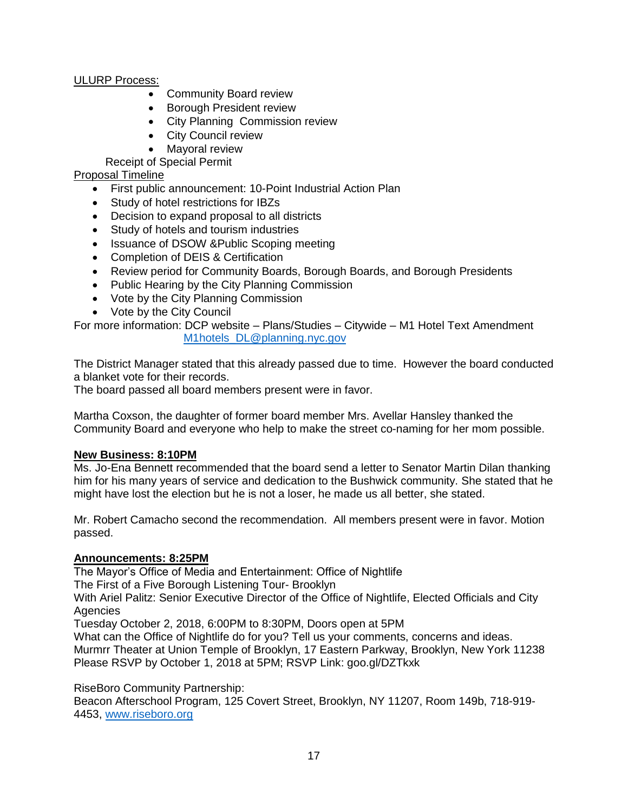# ULURP Process:

- Community Board review
- **•** Borough President review
- City Planning Commission review
- City Council review
- Mavoral review

Receipt of Special Permit

# Proposal Timeline

- First public announcement: 10-Point Industrial Action Plan
- Study of hotel restrictions for IBZs
- Decision to expand proposal to all districts
- Study of hotels and tourism industries
- Issuance of DSOW &Public Scoping meeting
- Completion of DEIS & Certification
- Review period for Community Boards, Borough Boards, and Borough Presidents
- Public Hearing by the City Planning Commission
- Vote by the City Planning Commission
- Vote by the City Council

For more information: DCP website – Plans/Studies – Citywide – M1 Hotel Text Amendment [M1hotels\\_DL@planning.nyc.gov](mailto:M1hotels_DL@planning.nyc.gov)

The District Manager stated that this already passed due to time. However the board conducted a blanket vote for their records.

The board passed all board members present were in favor.

Martha Coxson, the daughter of former board member Mrs. Avellar Hansley thanked the Community Board and everyone who help to make the street co-naming for her mom possible.

# **New Business: 8:10PM**

Ms. Jo-Ena Bennett recommended that the board send a letter to Senator Martin Dilan thanking him for his many years of service and dedication to the Bushwick community. She stated that he might have lost the election but he is not a loser, he made us all better, she stated.

Mr. Robert Camacho second the recommendation. All members present were in favor. Motion passed.

# **Announcements: 8:25PM**

The Mayor's Office of Media and Entertainment: Office of Nightlife

The First of a Five Borough Listening Tour- Brooklyn

With Ariel Palitz: Senior Executive Director of the Office of Nightlife, Elected Officials and City **Agencies** 

Tuesday October 2, 2018, 6:00PM to 8:30PM, Doors open at 5PM

What can the Office of Nightlife do for you? Tell us your comments, concerns and ideas.

Murmrr Theater at Union Temple of Brooklyn, 17 Eastern Parkway, Brooklyn, New York 11238 Please RSVP by October 1, 2018 at 5PM; RSVP Link: goo.gl/DZTkxk

# RiseBoro Community Partnership:

Beacon Afterschool Program, 125 Covert Street, Brooklyn, NY 11207, Room 149b, 718-919- 4453, [www.riseboro.org](http://www.riseboro.org/)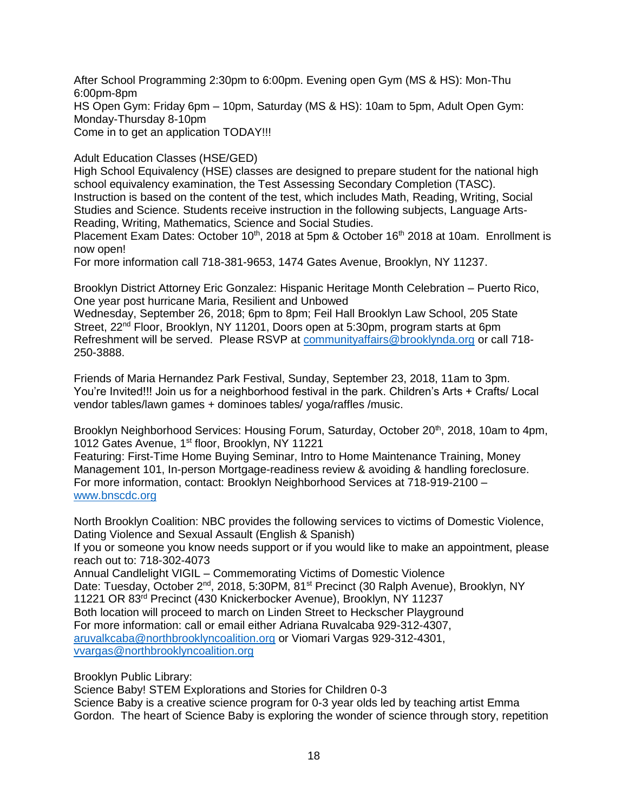After School Programming 2:30pm to 6:00pm. Evening open Gym (MS & HS): Mon-Thu 6:00pm-8pm HS Open Gym: Friday 6pm – 10pm, Saturday (MS & HS): 10am to 5pm, Adult Open Gym: Monday-Thursday 8-10pm Come in to get an application TODAY!!!

Adult Education Classes (HSE/GED)

High School Equivalency (HSE) classes are designed to prepare student for the national high school equivalency examination, the Test Assessing Secondary Completion (TASC). Instruction is based on the content of the test, which includes Math, Reading, Writing, Social Studies and Science. Students receive instruction in the following subjects, Language Arts-Reading, Writing, Mathematics, Science and Social Studies.

Placement Exam Dates: October 10<sup>th</sup>, 2018 at 5pm & October 16<sup>th</sup> 2018 at 10am. Enrollment is now open!

For more information call 718-381-9653, 1474 Gates Avenue, Brooklyn, NY 11237.

Brooklyn District Attorney Eric Gonzalez: Hispanic Heritage Month Celebration – Puerto Rico, One year post hurricane Maria, Resilient and Unbowed

Wednesday, September 26, 2018; 6pm to 8pm; Feil Hall Brooklyn Law School, 205 State Street, 22<sup>nd</sup> Floor, Brooklyn, NY 11201, Doors open at 5:30pm, program starts at 6pm Refreshment will be served. Please RSVP at [communityaffairs@brooklynda.org](mailto:communityaffairs@brooklynda.org) or call 718- 250-3888.

Friends of Maria Hernandez Park Festival, Sunday, September 23, 2018, 11am to 3pm. You're Invited!!! Join us for a neighborhood festival in the park. Children's Arts + Crafts/ Local vendor tables/lawn games + dominoes tables/ yoga/raffles /music.

Brooklyn Neighborhood Services: Housing Forum, Saturday, October 20<sup>th</sup>, 2018, 10am to 4pm, 1012 Gates Avenue, 1<sup>st</sup> floor, Brooklyn, NY 11221

Featuring: First-Time Home Buying Seminar, Intro to Home Maintenance Training, Money Management 101, In-person Mortgage-readiness review & avoiding & handling foreclosure. For more information, contact: Brooklyn Neighborhood Services at 718-919-2100 – [www.bnscdc.org](http://www.bnscdc.org/)

North Brooklyn Coalition: NBC provides the following services to victims of Domestic Violence, Dating Violence and Sexual Assault (English & Spanish)

If you or someone you know needs support or if you would like to make an appointment, please reach out to: 718-302-4073

Annual Candlelight VIGIL – Commemorating Victims of Domestic Violence Date: Tuesday, October 2<sup>nd</sup>, 2018, 5:30PM, 81<sup>st</sup> Precinct (30 Ralph Avenue), Brooklyn, NY 11221 OR 83rd Precinct (430 Knickerbocker Avenue), Brooklyn, NY 11237 Both location will proceed to march on Linden Street to Heckscher Playground For more information: call or email either Adriana Ruvalcaba 929-312-4307, [aruvalkcaba@northbrooklyncoalition.org](mailto:aruvalkcaba@northbrooklyncoalition.org) or Viomari Vargas 929-312-4301, [vvargas@northbrooklyncoalition.org](mailto:vvargas@northbrooklyncoalition.org)

Brooklyn Public Library:

Science Baby! STEM Explorations and Stories for Children 0-3

Science Baby is a creative science program for 0-3 year olds led by teaching artist Emma Gordon. The heart of Science Baby is exploring the wonder of science through story, repetition